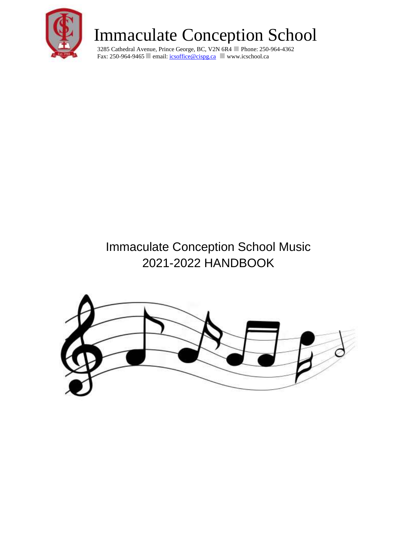

3285 Cathedral Avenue, Prince George, BC, V2N 6R4 Phone: 250-964-4362 Fax: 250-964-9465 email: *icsoffice@cispg.ca* www.icschool.ca

### Immaculate Conception School Music 2021-2022 HANDBOOK

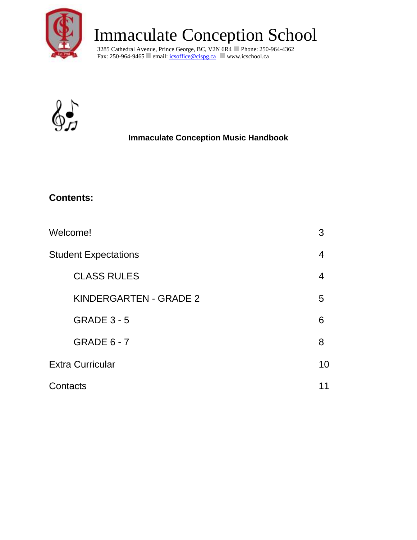

3285 Cathedral Avenue, Prince George, BC, V2N 6R4 Phone: 250-964-4362 Fax: 250-964-9465 email: *icsoffice@cispg.ca* www.icschool.ca



### **Immaculate Conception Music Handbook**

### **Contents:**

| Welcome!                      | 3  |
|-------------------------------|----|
| <b>Student Expectations</b>   | 4  |
| <b>CLASS RULES</b>            | 4  |
| <b>KINDERGARTEN - GRADE 2</b> | 5  |
| <b>GRADE 3 - 5</b>            | 6  |
| <b>GRADE 6 - 7</b>            | 8  |
| <b>Extra Curricular</b>       | 10 |
| Contacts                      | 11 |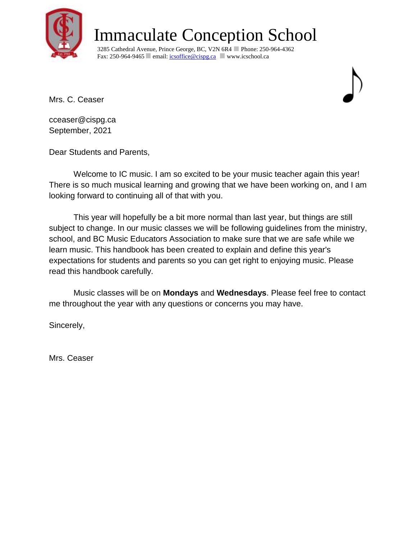

3285 Cathedral Avenue, Prince George, BC, V2N 6R4 Phone: 250-964-4362 Fax: 250-964-9465 email: *icsoffice@cispg.ca* www.icschool.ca

Mrs. C. Ceaser



cceaser@cispg.ca September, 2021

Dear Students and Parents,

 Welcome to IC music. I am so excited to be your music teacher again this year! There is so much musical learning and growing that we have been working on, and I am looking forward to continuing all of that with you.

This year will hopefully be a bit more normal than last year, but things are still subject to change. In our music classes we will be following guidelines from the ministry, school, and BC Music Educators Association to make sure that we are safe while we learn music. This handbook has been created to explain and define this year's expectations for students and parents so you can get right to enjoying music. Please read this handbook carefully.

Music classes will be on **Mondays** and **Wednesdays**. Please feel free to contact me throughout the year with any questions or concerns you may have.

Sincerely,

Mrs. Ceaser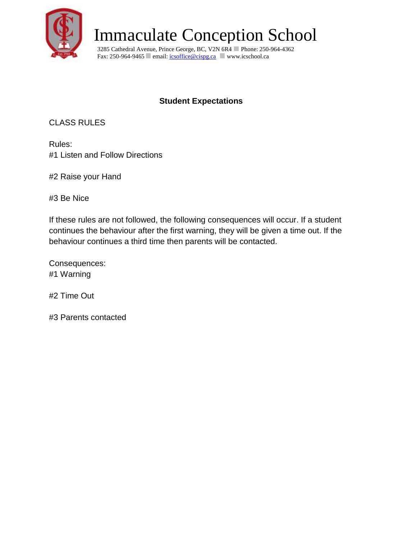

3285 Cathedral Avenue, Prince George, BC, V2N 6R4 Phone: 250-964-4362 Fax: 250-964-9465 email: *icsoffice@cispg.ca* www.icschool.ca

### **Student Expectations**

CLASS RULES

Rules: #1 Listen and Follow Directions

#2 Raise your Hand

#3 Be Nice

If these rules are not followed, the following consequences will occur. If a student continues the behaviour after the first warning, they will be given a time out. If the behaviour continues a third time then parents will be contacted.

Consequences: #1 Warning

#2 Time Out

#3 Parents contacted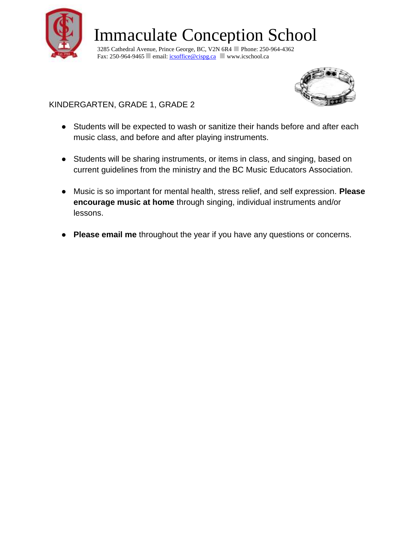

3285 Cathedral Avenue, Prince George, BC, V2N 6R4 Phone: 250-964-4362 Fax: 250-964-9465 email: [icsoffice@cispg.ca](mailto:icsoffice@cispg.ca) www.icschool.ca



KINDERGARTEN, GRADE 1, GRADE 2

- Students will be expected to wash or sanitize their hands before and after each music class, and before and after playing instruments.
- Students will be sharing instruments, or items in class, and singing, based on current guidelines from the ministry and the BC Music Educators Association.
- Music is so important for mental health, stress relief, and self expression. **Please encourage music at home** through singing, individual instruments and/or lessons.
- **Please email me** throughout the year if you have any questions or concerns.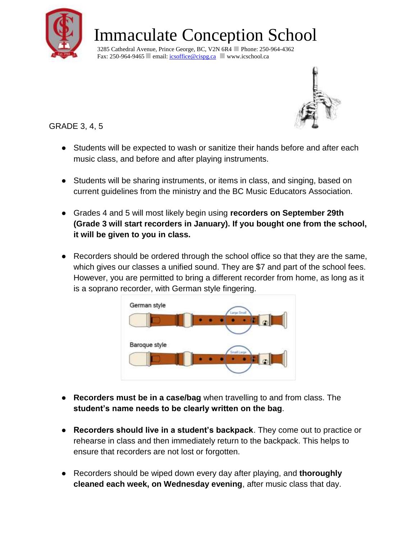

3285 Cathedral Avenue, Prince George, BC, V2N 6R4 Phone: 250-964-4362 Fax: 250-964-9465 email:  $\frac{\text{icsoffice@cispc.a}}{\text{cosopc.a}}$  www.icschool.ca



GRADE 3, 4, 5

- Students will be expected to wash or sanitize their hands before and after each music class, and before and after playing instruments.
- Students will be sharing instruments, or items in class, and singing, based on current guidelines from the ministry and the BC Music Educators Association.
- Grades 4 and 5 will most likely begin using **recorders on September 29th (Grade 3 will start recorders in January). If you bought one from the school, it will be given to you in class.**
- Recorders should be ordered through the school office so that they are the same, which gives our classes a unified sound. They are \$7 and part of the school fees. However, you are permitted to bring a different recorder from home, as long as it is a soprano recorder, with German style fingering.



- **Recorders must be in a case/bag** when travelling to and from class. The **student's name needs to be clearly written on the bag**.
- **Recorders should live in a student's backpack**. They come out to practice or rehearse in class and then immediately return to the backpack. This helps to ensure that recorders are not lost or forgotten.
- Recorders should be wiped down every day after playing, and **thoroughly cleaned each week, on Wednesday evening**, after music class that day.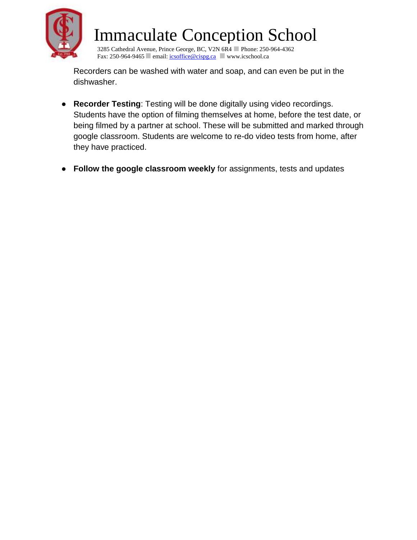

3285 Cathedral Avenue, Prince George, BC, V2N 6R4 Phone: 250-964-4362 Fax: 250-964-9465 email: *icsoffice@cispg.ca* www.icschool.ca

Recorders can be washed with water and soap, and can even be put in the dishwasher.

- **Recorder Testing**: Testing will be done digitally using video recordings. Students have the option of filming themselves at home, before the test date, or being filmed by a partner at school. These will be submitted and marked through google classroom. Students are welcome to re-do video tests from home, after they have practiced.
- **Follow the google classroom weekly** for assignments, tests and updates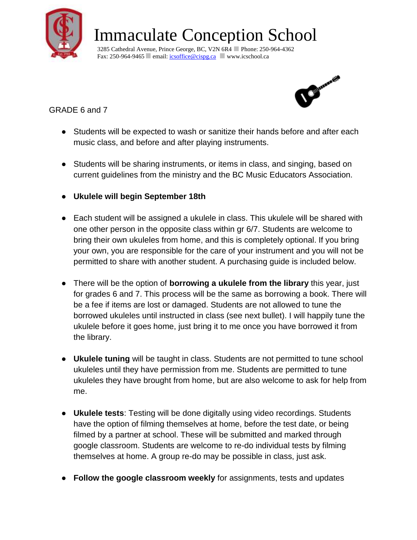

3285 Cathedral Avenue, Prince George, BC, V2N 6R4 Phone: 250-964-4362 Fax: 250-964-9465 email:  $\frac{\text{icsoffice@cispc.a}}{\text{cosopc.a}}$  www.icschool.ca



GRADE 6 and 7

- Students will be expected to wash or sanitize their hands before and after each music class, and before and after playing instruments.
- Students will be sharing instruments, or items in class, and singing, based on current guidelines from the ministry and the BC Music Educators Association.
- **Ukulele will begin September 18th**
- Each student will be assigned a ukulele in class. This ukulele will be shared with one other person in the opposite class within gr 6/7. Students are welcome to bring their own ukuleles from home, and this is completely optional. If you bring your own, you are responsible for the care of your instrument and you will not be permitted to share with another student. A purchasing guide is included below.
- There will be the option of **borrowing a ukulele from the library** this year, just for grades 6 and 7. This process will be the same as borrowing a book. There will be a fee if items are lost or damaged. Students are not allowed to tune the borrowed ukuleles until instructed in class (see next bullet). I will happily tune the ukulele before it goes home, just bring it to me once you have borrowed it from the library.
- **Ukulele tuning** will be taught in class. Students are not permitted to tune school ukuleles until they have permission from me. Students are permitted to tune ukuleles they have brought from home, but are also welcome to ask for help from me.
- **Ukulele tests**: Testing will be done digitally using video recordings. Students have the option of filming themselves at home, before the test date, or being filmed by a partner at school. These will be submitted and marked through google classroom. Students are welcome to re-do individual tests by filming themselves at home. A group re-do may be possible in class, just ask.
- **Follow the google classroom weekly** for assignments, tests and updates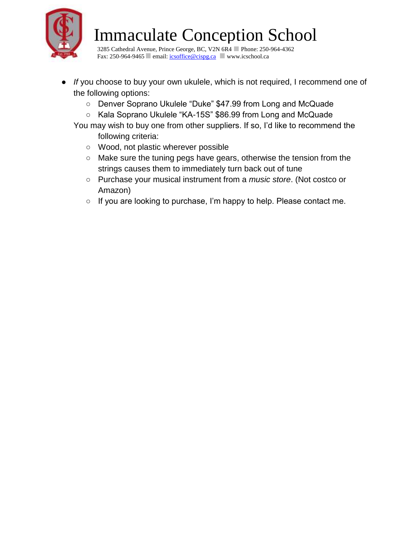

3285 Cathedral Avenue, Prince George, BC, V2N 6R4 Phone: 250-964-4362 Fax: 250-964-9465 email: *icsoffice@cispg.ca* www.icschool.ca

- *If* you choose to buy your own ukulele, which is not required, I recommend one of the following options:
	- Denver Soprano Ukulele "Duke" \$47.99 from Long and McQuade
	- Kala Soprano Ukulele "KA-15S" \$86.99 from Long and McQuade
	- You may wish to buy one from other suppliers. If so, I'd like to recommend the following criteria:
		- Wood, not plastic wherever possible
		- Make sure the tuning pegs have gears, otherwise the tension from the strings causes them to immediately turn back out of tune
		- Purchase your musical instrument from a *music store*. (Not costco or Amazon)
		- If you are looking to purchase, I'm happy to help. Please contact me.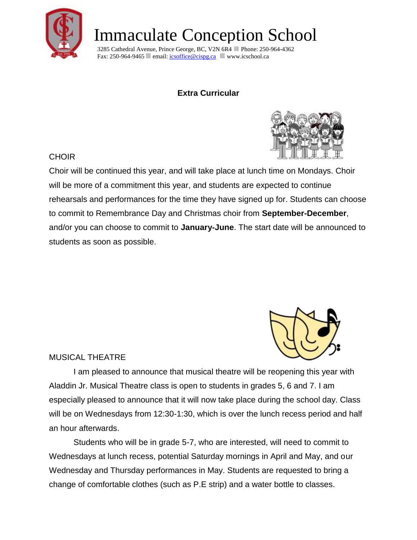

3285 Cathedral Avenue, Prince George, BC, V2N 6R4 Phone: 250-964-4362 Fax: 250-964-9465 email: *icsoffice@cispg.ca* www.icschool.ca

### **Extra Curricular**



#### CHOIR

Choir will be continued this year, and will take place at lunch time on Mondays. Choir will be more of a commitment this year, and students are expected to continue rehearsals and performances for the time they have signed up for. Students can choose to commit to Remembrance Day and Christmas choir from **September-December**, and/or you can choose to commit to **January-June**. The start date will be announced to students as soon as possible.



#### MUSICAL THEATRE

I am pleased to announce that musical theatre will be reopening this year with Aladdin Jr. Musical Theatre class is open to students in grades 5, 6 and 7. I am especially pleased to announce that it will now take place during the school day. Class will be on Wednesdays from 12:30-1:30, which is over the lunch recess period and half an hour afterwards.

Students who will be in grade 5-7, who are interested, will need to commit to Wednesdays at lunch recess, potential Saturday mornings in April and May, and our Wednesday and Thursday performances in May. Students are requested to bring a change of comfortable clothes (such as P.E strip) and a water bottle to classes.